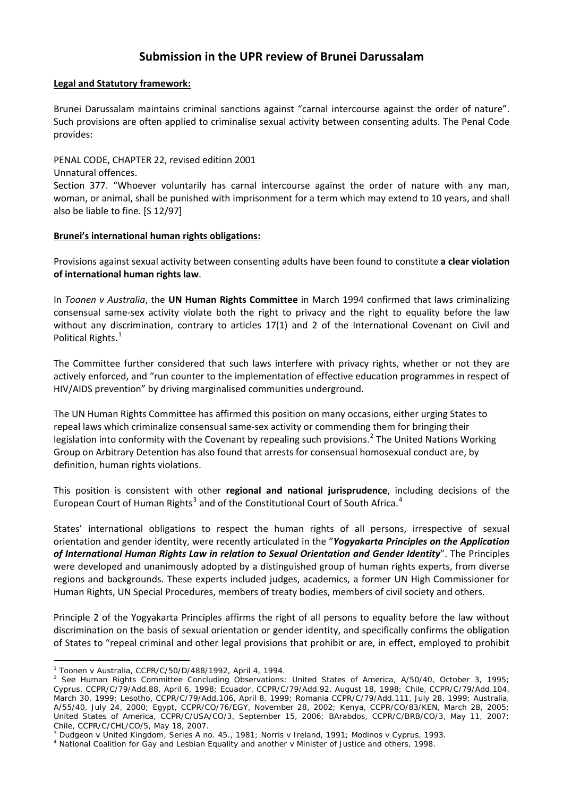# **Submission in the UPR review of Brunei Darussalam**

## **Legal and Statutory framework:**

Brunei Darussalam maintains criminal sanctions against "carnal intercourse against the order of nature". Such provisions are often applied to criminalise sexual activity between consenting adults. The Penal Code provides:

PENAL CODE, CHAPTER 22, revised edition 2001 Unnatural offences. Section 377. "Whoever voluntarily has carnal intercourse against the order of nature with any man, woman, or animal, shall be punished with imprisonment for a term which may extend to 10 years, and shall also be liable to fine. [S 12/97]

## **Brunei's international human rights obligations:**

Provisions against sexual activity between consenting adults have been found to constitute **a clear violation of international human rights law**.

In *Toonen v Australia*, the **UN Human Rights Committee** in March 1994 confirmed that laws criminalizing consensual same‐sex activity violate both the right to privacy and the right to equality before the law without any discrimination, contrary to articles 17(1) and 2 of the International Covenant on Civil and Political Rights.<sup>[1](#page-0-0)</sup>

The Committee further considered that such laws interfere with privacy rights, whether or not they are actively enforced, and "run counter to the implementation of effective education programmes in respect of HIV/AIDS prevention" by driving marginalised communities underground.

The UN Human Rights Committee has affirmed this position on many occasions, either urging States to repeal laws which criminalize consensual same‐sex activity or commending them for bringing their legislation into conformity with the Covenant by repealing such provisions.<sup>[2](#page-0-1)</sup> The United Nations Working Group on Arbitrary Detention has also found that arrests for consensual homosexual conduct are, by definition, human rights violations.

This position is consistent with other **regional and national jurisprudence**, including decisions of the European Court of Human Rights<sup>[3](#page-0-2)</sup> and of the Constitutional Court of South Africa.<sup>[4](#page-0-3)</sup>

States' international obligations to respect the human rights of all persons, irrespective of sexual orientation and gender identity, were recently articulated in the "*Yogyakarta Principles on the Application of International Human Rights Law in relation to Sexual Orientation and Gender Identity*". The Principles were developed and unanimously adopted by a distinguished group of human rights experts, from diverse regions and backgrounds. These experts included judges, academics, a former UN High Commissioner for Human Rights, UN Special Procedures, members of treaty bodies, members of civil society and others.

Principle 2 of the Yogyakarta Principles affirms the right of all persons to equality before the law without discrimination on the basis of sexual orientation or gender identity, and specifically confirms the obligation of States to "repeal criminal and other legal provisions that prohibit or are, in effect, employed to prohibit

 $\overline{a}$ 

<span id="page-0-0"></span><sup>1</sup> *Toonen* v *Australia*, CCPR/C/50/D/488/1992, April 4, 1994. 2

<span id="page-0-1"></span><sup>&</sup>lt;sup>2</sup> See Human Rights Committee Concluding Observations: United States of America, A/50/40, October 3, 1995; Cyprus, CCPR/C/79/Add.88, April 6, 1998; Ecuador, CCPR/C/79/Add.92, August 18, 1998; Chile, CCPR/C/79/Add.104, March 30, 1999; Lesotho, CCPR/C/79/Add.106, April 8, 1999; Romania CCPR/C/79/Add.111, July 28, 1999; Australia, A/55/40, July 24, 2000; Egypt, CCPR/CO/76/EGY, November 28, 2002; Kenya, CCPR/CO/83/KEN, March 28, 2005; United States of America, CCPR/C/USA/CO/3, September 15, 2006; BArabdos, CCPR/C/BRB/CO/3, May 11, 2007; Chile, CCPR/C/CHL/CO/5, May 18, 2007.

<span id="page-0-2"></span><sup>&</sup>lt;sup>3</sup> Dudgeon v United Kingdom, Series A no. 45., 1981; Norris v Ireland, 1991; Modinos v Cyprus, 1993.<br><sup>4</sup> National Coalition for Gay and Lesbian Equality and another v Minister of Justice and others, 1998.

<span id="page-0-3"></span>